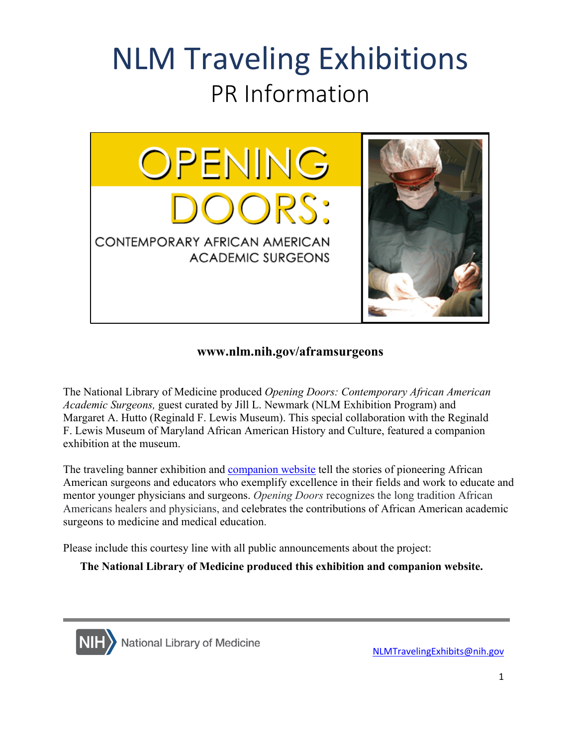## NLM Traveling Exhibitions PR Information



## **<www.nlm.nih.gov/aframsurgeons>**

 The National Library of Medicine produced *Opening Doors: Contemporary African American Academic Surgeons,* guest curated by Jill L. Newmark (NLM Exhibition Program) and Margaret A. Hutto (Reginald F. Lewis Museum). This special collaboration with the Reginald F. Lewis Museum of Maryland African American History and Culture, featured a companion exhibition at the museum.

 American surgeons and educators who exemplify excellence in their fields and work to educate and mentor younger physicians and surgeons. *Opening Doors* recognizes the long tradition African surgeons to medicine and medical education. The traveling banner exhibition and [companion website](https://www.nlm.nih.gov/exhibition/aframsurgeons/index.html) tell the stories of pioneering African Americans healers and physicians, and celebrates the contributions of African American academic

surgeons to medicine and medical education.<br>Please include this courtesy line with all public announcements about the project:

**The National Library of Medicine produced this exhibition and companion website.** 



[NLMTravelingExhibits@nih.gov](mailto:NLMTravelingExhibits@nih.gov)